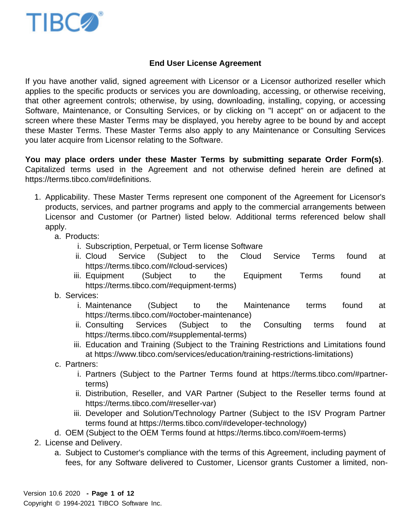## End User License Agreement

If you have another valid, signed agreement with Licensor or a Licensor authorized reseller which applies to the specific products or services you are downloading, accessing, or otherwise receiving, that other agreement controls; otherwise, by using, downloading, installing, copying, or accessing Software, Maintenance, or Consulting Services, or by clicking on "I accept" on or adjacent to the screen where these Master Terms may be displayed, you hereby agree to be bound by and accept these Master Terms. These Master Terms also apply to any Maintenance or Consulting Services you later acquire from Licensor relating to the Software.

You may place orders under these Master Terms by submitting separate Order Form(s) . Capitalized terms used in the Agreement and not otherwise defined herein are defined at <https://terms.tibco.com/#definitions>.

- 1. Applicability. These Master Terms represent one component of the Agreement for Licensor's products, services, and partner programs and apply to the commercial arrangements between Licensor and Customer (or Partner) listed below. Additional terms referenced below shall apply.
	- a. Products:
		- i. Subscription, Perpetual, or Term license Software
		- ii. Cloud Service (Subject to the Cloud Service Terms found at [https://terms.tibco.com/#cloud-services\)](https://terms.tibco.com/#cloud-services)
		- iii. Equipment (Subject to the Equipment Terms found at <https://terms.tibco.com/#equipment-terms>)
	- b. Services:
		- i. Maintenance (Subject to the Maintenance terms found at [https://terms.tibco.com/#october-maintenance\)](https://terms.tibco.com/#october-maintenance)
		- ii. Consulting Services (Subject to the Consulting terms found at [https://terms.tibco.com/#supplemental-terms\)](https://terms.tibco.com/#supplemental-terms)
		- iii. Education and Training (Subject to the Training Restrictions and Limitations found at <https://www.tibco.com/services/education/training-restrictions-limitations>)
	- c. Partners:
		- i. Partners (Subject to the Partner Terms found at [https://terms.tibco.com/#partner](https://terms.tibco.com/#partner-terms)[terms\)](https://terms.tibco.com/#partner-terms)
		- ii. Distribution, Reseller, and VAR Partner (Subject to the Reseller terms found at <https://terms.tibco.com/#reseller-var>)
		- iii. Developer and Solution/Technology Partner (Subject to the ISV Program Partner terms found at [https://terms.tibco.com/#developer-technology\)](https://terms.tibco.com/#developer-technology)

d. OEM (Subject to the OEM Terms found at [https://terms.tibco.com/#oem-terms\)](https://terms.tibco.com/#oem-terms)

- 2. License and Delivery.
	- a. Subject to Customer's compliance with the terms of this Agreement, including payment of fees, for any Software delivered to Customer, Licensor grants Customer a limited, non-

Version 10.6 2020 - Page 1 of 12 Copyright © 1994-2021 TIBCO Software Inc.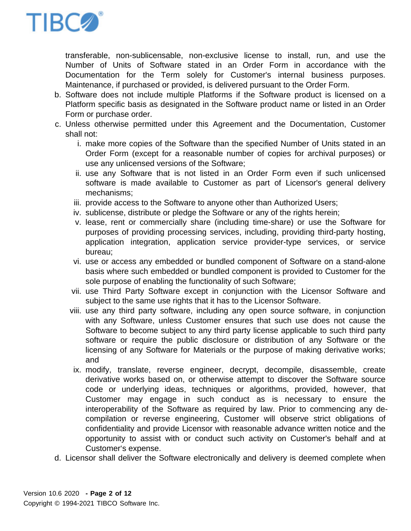

transferable, non-sublicensable, non-exclusive license to install, run, and use the Number of Units of Software stated in an Order Form in accordance with the Documentation for the Term solely for Customer's internal business purposes. Maintenance, if purchased or provided, is delivered pursuant to the Order Form.

- b. Software does not include multiple Platforms if the Software product is licensed on a Platform specific basis as designated in the Software product name or listed in an Order Form or purchase order.
- c. Unless otherwise permitted under this Agreement and the Documentation, Customer shall not:
	- i. make more copies of the Software than the specified Number of Units stated in an Order Form (except for a reasonable number of copies for archival purposes) or use any unlicensed versions of the Software;
	- ii. use any Software that is not listed in an Order Form even if such unlicensed software is made available to Customer as part of Licensor's general delivery mechanisms;
	- iii. provide access to the Software to anyone other than Authorized Users;
	- iv. sublicense, distribute or pledge the Software or any of the rights herein;
	- v. lease, rent or commercially share (including time-share) or use the Software for purposes of providing processing services, including, providing third-party hosting, application integration, application service provider-type services, or service bureau;
	- vi. use or access any embedded or bundled component of Software on a stand-alone basis where such embedded or bundled component is provided to Customer for the sole purpose of enabling the functionality of such Software;
	- vii. use Third Party Software except in conjunction with the Licensor Software and subject to the same use rights that it has to the Licensor Software.
	- viii. use any third party software, including any open source software, in conjunction with any Software, unless Customer ensures that such use does not cause the Software to become subject to any third party license applicable to such third party software or require the public disclosure or distribution of any Software or the licensing of any Software for Materials or the purpose of making derivative works; and
	- ix. modify, translate, reverse engineer, decrypt, decompile, disassemble, create derivative works based on, or otherwise attempt to discover the Software source code or underlying ideas, techniques or algorithms, provided, however, that Customer may engage in such conduct as is necessary to ensure the interoperability of the Software as required by law. Prior to commencing any decompilation or reverse engineering, Customer will observe strict obligations of confidentiality and provide Licensor with reasonable advance written notice and the opportunity to assist with or conduct such activity on Customer's behalf and at Customer's expense.
- d. Licensor shall deliver the Software electronically and delivery is deemed complete when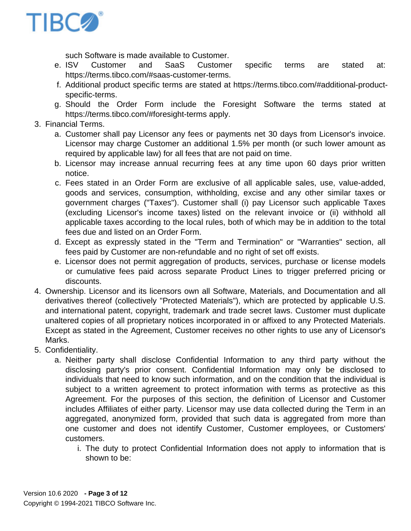such Software is made available to Customer.

- e. ISV Customer and SaaS Customer specific terms are stated at: [https://terms.tibco.com/#saas-customer-terms.](https://terms.tibco.com/#saas-customer-terms)
- f. Additional product specific terms are stated at [https://terms.tibco.com/#additional-product](https://terms.tibco.com/#additional-product-specific-terms)[specific-terms.](https://terms.tibco.com/#additional-product-specific-terms)
- g. Should the Order Form include the Foresight Software the terms stated at <https://terms.tibco.com/#foresight-terms> apply.
- 3. Financial Terms.
	- a. Customer shall pay Licensor any fees or payments net 30 days from Licensor's invoice. Licensor may charge Customer an additional 1.5% per month (or such lower amount as required by applicable law) for all fees that are not paid on time.
	- b. Licensor may increase annual recurring fees at any time upon 60 days prior written notice.
	- c. Fees stated in an Order Form are exclusive of all applicable sales, use, value-added, goods and services, consumption, withholding, excise and any other similar taxes or government charges ("Taxes"). Customer shall (i) pay Licensor such applicable Taxes (excluding Licensor's income taxes) listed on the relevant invoice or (ii) withhold all applicable taxes according to the local rules, both of which may be in addition to the total fees due and listed on an Order Form.
	- d. Except as expressly stated in the "Term and Termination" or "Warranties" section, all fees paid by Customer are non-refundable and no right of set off exists.
	- e. Licensor does not permit aggregation of products, services, purchase or license models or cumulative fees paid across separate Product Lines to trigger preferred pricing or discounts.
- 4. Ownership. Licensor and its licensors own all Software, Materials, and Documentation and all derivatives thereof (collectively "Protected Materials"), which are protected by applicable U.S. and international patent, copyright, trademark and trade secret laws. Customer must duplicate unaltered copies of all proprietary notices incorporated in or affixed to any Protected Materials. Except as stated in the Agreement, Customer receives no other rights to use any of Licensor's Marks.
- 5. Confidentiality.
	- a. Neither party shall disclose Confidential Information to any third party without the disclosing party's prior consent. Confidential Information may only be disclosed to individuals that need to know such information, and on the condition that the individual is subject to a written agreement to protect information with terms as protective as this Agreement. For the purposes of this section, the definition of Licensor and Customer includes Affiliates of either party. Licensor may use data collected during the Term in an aggregated, anonymized form, provided that such data is aggregated from more than one customer and does not identify Customer, Customer employees, or Customers' customers.
		- i. The duty to protect Confidential Information does not apply to information that is shown to be: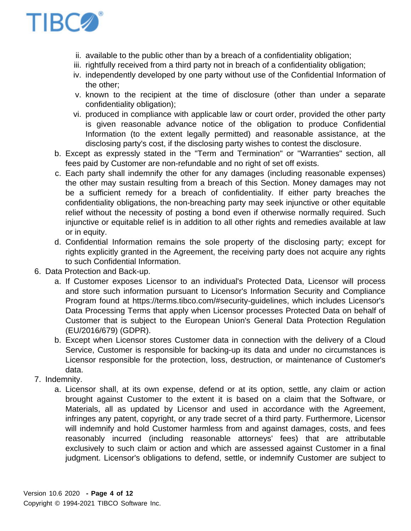- ii. available to the public other than by a breach of a confidentiality obligation;
- iii. rightfully received from a third party not in breach of a confidentiality obligation;
- iv. independently developed by one party without use of the Confidential Information of the other;
- v. known to the recipient at the time of disclosure (other than under a separate confidentiality obligation);
- vi. produced in compliance with applicable law or court order, provided the other party is given reasonable advance notice of the obligation to produce Confidential Information (to the extent legally permitted) and reasonable assistance, at the disclosing party's cost, if the disclosing party wishes to contest the disclosure.
- b. Except as expressly stated in the "Term and Termination" or "Warranties" section, all fees paid by Customer are non-refundable and no right of set off exists.
- c. Each party shall indemnify the other for any damages (including reasonable expenses) the other may sustain resulting from a breach of this Section. Money damages may not be a sufficient remedy for a breach of confidentiality. If either party breaches the confidentiality obligations, the non-breaching party may seek injunctive or other equitable relief without the necessity of posting a bond even if otherwise normally required. Such injunctive or equitable relief is in addition to all other rights and remedies available at law or in equity.
- d. Confidential Information remains the sole property of the disclosing party; except for rights explicitly granted in the Agreement, the receiving party does not acquire any rights to such Confidential Information.
- 6. Data Protection and Back-up.
	- a. If Customer exposes Licensor to an individual's Protected Data, Licensor will process and store such information pursuant to Licensor's Information Security and Compliance Program found at [https://terms.tibco.com/#security-guidelines,](https://terms.tibco.com/#security-guidelines) which includes Licensor's Data Processing Terms that apply when Licensor processes Protected Data on behalf of Customer that is subject to the European Union's General Data Protection Regulation (EU/2016/679) (GDPR).
	- b. Except when Licensor stores Customer data in connection with the delivery of a Cloud Service, Customer is responsible for backing-up its data and under no circumstances is Licensor responsible for the protection, loss, destruction, or maintenance of Customer's data.
- 7. Indemnity.
	- a. Licensor shall, at its own expense, defend or at its option, settle, any claim or action brought against Customer to the extent it is based on a claim that the Software, or Materials, all as updated by Licensor and used in accordance with the Agreement, infringes any patent, copyright, or any trade secret of a third party. Furthermore, Licensor will indemnify and hold Customer harmless from and against damages, costs, and fees reasonably incurred (including reasonable attorneys' fees) that are attributable exclusively to such claim or action and which are assessed against Customer in a final judgment. Licensor's obligations to defend, settle, or indemnify Customer are subject to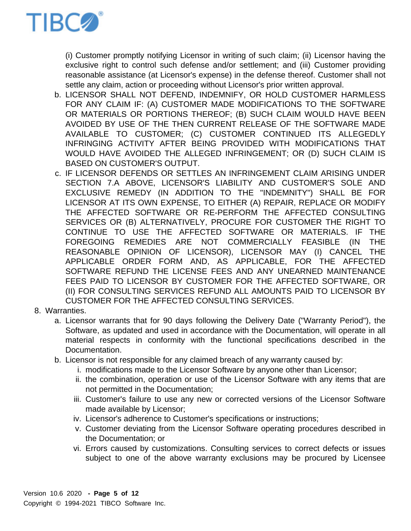

(i) Customer promptly notifying Licensor in writing of such claim; (ii) Licensor having the exclusive right to control such defense and/or settlement; and (iii) Customer providing reasonable assistance (at Licensor's expense) in the defense thereof. Customer shall not settle any claim, action or proceeding without Licensor's prior written approval.

- b. LICENSOR SHALL NOT DEFEND, INDEMNIFY, OR HOLD CUSTOMER HARMLESS FOR ANY CLAIM IF: (A) CUSTOMER MADE MODIFICATIONS TO THE SOFTWARE OR MATERIALS OR PORTIONS THEREOF; (B) SUCH CLAIM WOULD HAVE BEEN AVOIDED BY USE OF THE THEN CURRENT RELEASE OF THE SOFTWARE MADE AVAILABLE TO CUSTOMER; (C) CUSTOMER CONTINUED ITS ALLEGEDLY INFRINGING ACTIVITY AFTER BEING PROVIDED WITH MODIFICATIONS THAT WOULD HAVE AVOIDED THE ALLEGED INFRINGEMENT; OR (D) SUCH CLAIM IS BASED ON CUSTOMER'S OUTPUT.
- c. IF LICENSOR DEFENDS OR SETTLES AN INFRINGEMENT CLAIM ARISING UNDER SECTION 7.A ABOVE, LICENSOR'S LIABILITY AND CUSTOMER'S SOLE AND EXCLUSIVE REMEDY (IN ADDITION TO THE "INDEMNITY") SHALL BE FOR LICENSOR AT ITS OWN EXPENSE, TO EITHER (A) REPAIR, REPLACE OR MODIFY THE AFFECTED SOFTWARE OR RE-PERFORM THE AFFECTED CONSULTING SERVICES OR (B) ALTERNATIVELY, PROCURE FOR CUSTOMER THE RIGHT TO CONTINUE TO USE THE AFFECTED SOFTWARE OR MATERIALS. IF THE FOREGOING REMEDIES ARE NOT COMMERCIALLY FEASIBLE (IN THE REASONABLE OPINION OF LICENSOR), LICENSOR MAY (I) CANCEL THE APPLICABLE ORDER FORM AND, AS APPLICABLE, FOR THE AFFECTED SOFTWARE REFUND THE LICENSE FEES AND ANY UNEARNED MAINTENANCE FEES PAID TO LICENSOR BY CUSTOMER FOR THE AFFECTED SOFTWARE, OR (II) FOR CONSULTING SERVICES REFUND ALL AMOUNTS PAID TO LICENSOR BY CUSTOMER FOR THE AFFECTED CONSULTING SERVICES.
- 8. Warranties.
	- a. Licensor warrants that for 90 days following the Delivery Date ("Warranty Period"), the Software, as updated and used in accordance with the Documentation, will operate in all material respects in conformity with the functional specifications described in the Documentation.
	- b. Licensor is not responsible for any claimed breach of any warranty caused by:
		- i. modifications made to the Licensor Software by anyone other than Licensor;
		- ii. the combination, operation or use of the Licensor Software with any items that are not permitted in the Documentation;
		- iii. Customer's failure to use any new or corrected versions of the Licensor Software made available by Licensor;
		- iv. Licensor's adherence to Customer's specifications or instructions;
		- v. Customer deviating from the Licensor Software operating procedures described in the Documentation; or
		- vi. Errors caused by customizations. Consulting services to correct defects or issues subject to one of the above warranty exclusions may be procured by Licensee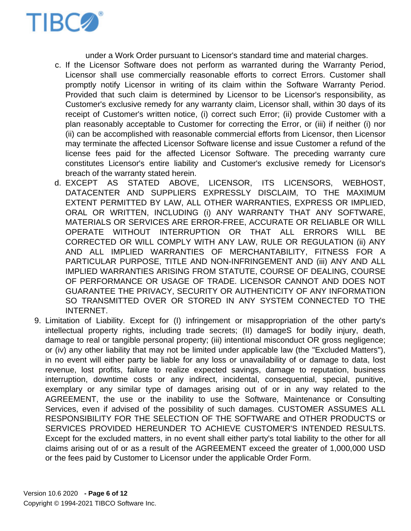

under a Work Order pursuant to Licensor's standard time and material charges.

- c. If the Licensor Software does not perform as warranted during the Warranty Period, Licensor shall use commercially reasonable efforts to correct Errors. Customer shall promptly notify Licensor in writing of its claim within the Software Warranty Period. Provided that such claim is determined by Licensor to be Licensor's responsibility, as Customer's exclusive remedy for any warranty claim, Licensor shall, within 30 days of its receipt of Customer's written notice, (i) correct such Error; (ii) provide Customer with a plan reasonably acceptable to Customer for correcting the Error, or (iii) if neither (i) nor (ii) can be accomplished with reasonable commercial efforts from Licensor, then Licensor may terminate the affected Licensor Software license and issue Customer a refund of the license fees paid for the affected Licensor Software. The preceding warranty cure constitutes Licensor's entire liability and Customer's exclusive remedy for Licensor's breach of the warranty stated herein.
- d. EXCEPT AS STATED ABOVE, LICENSOR, ITS LICENSORS, WEBHOST, DATACENTER AND SUPPLIERS EXPRESSLY DISCLAIM, TO THE MAXIMUM EXTENT PERMITTED BY LAW, ALL OTHER WARRANTIES, EXPRESS OR IMPLIED, ORAL OR WRITTEN, INCLUDING (i) ANY WARRANTY THAT ANY SOFTWARE, MATERIALS OR SERVICES ARE ERROR-FREE, ACCURATE OR RELIABLE OR WILL OPERATE WITHOUT INTERRUPTION OR THAT ALL ERRORS WILL BE CORRECTED OR WILL COMPLY WITH ANY LAW, RULE OR REGULATION (ii) ANY AND ALL IMPLIED WARRANTIES OF MERCHANTABILITY, FITNESS FOR A PARTICULAR PURPOSE, TITLE AND NON-INFRINGEMENT AND (iii) ANY AND ALL IMPLIED WARRANTIES ARISING FROM STATUTE, COURSE OF DEALING, COURSE OF PERFORMANCE OR USAGE OF TRADE. LICENSOR CANNOT AND DOES NOT GUARANTEE THE PRIVACY, SECURITY OR AUTHENTICITY OF ANY INFORMATION SO TRANSMITTED OVER OR STORED IN ANY SYSTEM CONNECTED TO THE INTERNET.
- 9. Limitation of Liability. Except for (I) infringement or misappropriation of the other party's intellectual property rights, including trade secrets; (II) damageS for bodily injury, death, damage to real or tangible personal property; (iii) intentional misconduct OR gross negligence; or (iv) any other liability that may not be limited under applicable law (the "Excluded Matters"), in no event will either party be liable for any loss or unavailability of or damage to data, lost revenue, lost profits, failure to realize expected savings, damage to reputation, business interruption, downtime costs or any indirect, incidental, consequential, special, punitive, exemplary or any similar type of damages arising out of or in any way related to the AGREEMENT, the use or the inability to use the Software, Maintenance or Consulting Services, even if advised of the possibility of such damages. CUSTOMER ASSUMES ALL RESPONSIBILITY FOR THE SELECTION OF THE SOFTWARE and OTHER PRODUCTS or SERVICES PROVIDED HEREUNDER TO ACHIEVE CUSTOMER'S INTENDED RESULTS. Except for the excluded matters, in no event shall either party's total liability to the other for all claims arising out of or as a result of the AGREEMENT exceed the greater of 1,000,000 USD or the fees paid by Customer to Licensor under the applicable Order Form.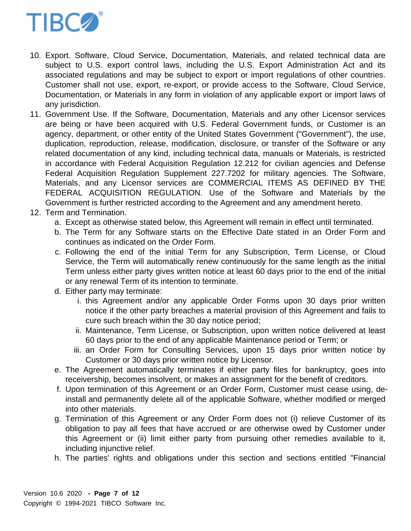

- 10. Export. Software, Cloud Service, Documentation, Materials, and related technical data are subject to U.S. export control laws, including the U.S. Export Administration Act and its associated regulations and may be subject to export or import regulations of other countries. Customer shall not use, export, re-export, or provide access to the Software, Cloud Service, Documentation, or Materials in any form in violation of any applicable export or import laws of any jurisdiction.
- 11. Government Use. If the Software, Documentation, Materials and any other Licensor services are being or have been acquired with U.S. Federal Government funds, or Customer is an agency, department, or other entity of the United States Government ("Government"), the use, duplication, reproduction, release, modification, disclosure, or transfer of the Software or any related documentation of any kind, including technical data, manuals or Materials, is restricted in accordance with Federal Acquisition Regulation 12.212 for civilian agencies and Defense Federal Acquisition Regulation Supplement 227.7202 for military agencies. The Software, Materials, and any Licensor services are COMMERCIAL ITEMS AS DEFINED BY THE FEDERAL ACQUISITION REGULATION. Use of the Software and Materials by the Government is further restricted according to the Agreement and any amendment hereto.
- 12. Term and Termination.
	- a. Except as otherwise stated below, this Agreement will remain in effect until terminated.
	- b. The Term for any Software starts on the Effective Date stated in an Order Form and continues as indicated on the Order Form.
	- c. Following the end of the initial Term for any Subscription, Term License, or Cloud Service, the Term will automatically renew continuously for the same length as the initial Term unless either party gives written notice at least 60 days prior to the end of the initial or any renewal Term of its intention to terminate.
	- d. Either party may terminate:
		- i. this Agreement and/or any applicable Order Forms upon 30 days prior written notice if the other party breaches a material provision of this Agreement and fails to cure such breach within the 30 day notice period;
		- ii. Maintenance, Term License, or Subscription, upon written notice delivered at least 60 days prior to the end of any applicable Maintenance period or Term; or
		- iii. an Order Form for Consulting Services, upon 15 days prior written notice by Customer or 30 days prior written notice by Licensor.
	- e. The Agreement automatically terminates if either party files for bankruptcy, goes into receivership, becomes insolvent, or makes an assignment for the benefit of creditors.
	- f. Upon termination of this Agreement or an Order Form, Customer must cease using, deinstall and permanently delete all of the applicable Software, whether modified or merged into other materials.
	- g. Termination of this Agreement or any Order Form does not (i) relieve Customer of its obligation to pay all fees that have accrued or are otherwise owed by Customer under this Agreement or (ii) limit either party from pursuing other remedies available to it, including injunctive relief.
	- h. The parties' rights and obligations under this section and sections entitled "Financial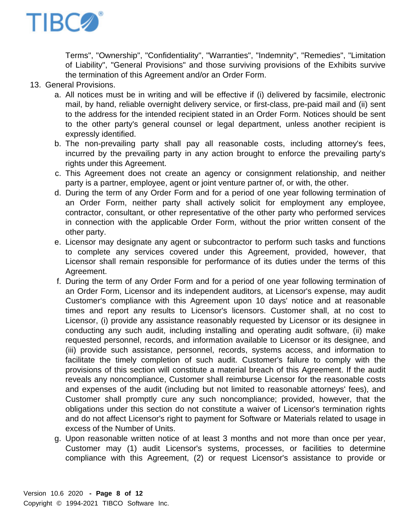

Terms", "Ownership", "Confidentiality", "Warranties", "Indemnity", "Remedies", "Limitation of Liability", "General Provisions" and those surviving provisions of the Exhibits survive the termination of this Agreement and/or an Order Form.

- 13. General Provisions.
	- a. All notices must be in writing and will be effective if (i) delivered by facsimile, electronic mail, by hand, reliable overnight delivery service, or first-class, pre-paid mail and (ii) sent to the address for the intended recipient stated in an Order Form. Notices should be sent to the other party's general counsel or legal department, unless another recipient is expressly identified.
	- b. The non-prevailing party shall pay all reasonable costs, including attorney's fees, incurred by the prevailing party in any action brought to enforce the prevailing party's rights under this Agreement.
	- c. This Agreement does not create an agency or consignment relationship, and neither party is a partner, employee, agent or joint venture partner of, or with, the other.
	- d. During the term of any Order Form and for a period of one year following termination of an Order Form, neither party shall actively solicit for employment any employee, contractor, consultant, or other representative of the other party who performed services in connection with the applicable Order Form, without the prior written consent of the other party.
	- e. Licensor may designate any agent or subcontractor to perform such tasks and functions to complete any services covered under this Agreement, provided, however, that Licensor shall remain responsible for performance of its duties under the terms of this Agreement.
	- f. During the term of any Order Form and for a period of one year following termination of an Order Form, Licensor and its independent auditors, at Licensor's expense, may audit Customer's compliance with this Agreement upon 10 days' notice and at reasonable times and report any results to Licensor's licensors. Customer shall, at no cost to Licensor, (i) provide any assistance reasonably requested by Licensor or its designee in conducting any such audit, including installing and operating audit software, (ii) make requested personnel, records, and information available to Licensor or its designee, and (iii) provide such assistance, personnel, records, systems access, and information to facilitate the timely completion of such audit. Customer's failure to comply with the provisions of this section will constitute a material breach of this Agreement. If the audit reveals any noncompliance, Customer shall reimburse Licensor for the reasonable costs and expenses of the audit (including but not limited to reasonable attorneys' fees), and Customer shall promptly cure any such noncompliance; provided, however, that the obligations under this section do not constitute a waiver of Licensor's termination rights and do not affect Licensor's right to payment for Software or Materials related to usage in excess of the Number of Units.
	- g. Upon reasonable written notice of at least 3 months and not more than once per year, Customer may (1) audit Licensor's systems, processes, or facilities to determine compliance with this Agreement, (2) or request Licensor's assistance to provide or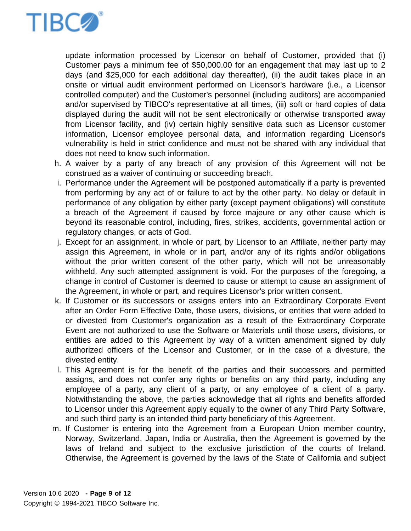

update information processed by Licensor on behalf of Customer, provided that (i) Customer pays a minimum fee of \$50,000.00 for an engagement that may last up to 2 days (and \$25,000 for each additional day thereafter), (ii) the audit takes place in an onsite or virtual audit environment performed on Licensor's hardware (i.e., a Licensor controlled computer) and the Customer's personnel (including auditors) are accompanied and/or supervised by TIBCO's representative at all times, (iii) soft or hard copies of data displayed during the audit will not be sent electronically or otherwise transported away from Licensor facility, and (iv) certain highly sensitive data such as Licensor customer information, Licensor employee personal data, and information regarding Licensor's vulnerability is held in strict confidence and must not be shared with any individual that does not need to know such information.

- h. A waiver by a party of any breach of any provision of this Agreement will not be construed as a waiver of continuing or succeeding breach.
- i. Performance under the Agreement will be postponed automatically if a party is prevented from performing by any act of or failure to act by the other party. No delay or default in performance of any obligation by either party (except payment obligations) will constitute a breach of the Agreement if caused by force majeure or any other cause which is beyond its reasonable control, including, fires, strikes, accidents, governmental action or regulatory changes, or acts of God.
- j. Except for an assignment, in whole or part, by Licensor to an Affiliate, neither party may assign this Agreement, in whole or in part, and/or any of its rights and/or obligations without the prior written consent of the other party, which will not be unreasonably withheld. Any such attempted assignment is void. For the purposes of the foregoing, a change in control of Customer is deemed to cause or attempt to cause an assignment of the Agreement, in whole or part, and requires Licensor's prior written consent.
- k. If Customer or its successors or assigns enters into an Extraordinary Corporate Event after an Order Form Effective Date, those users, divisions, or entities that were added to or divested from Customer's organization as a result of the Extraordinary Corporate Event are not authorized to use the Software or Materials until those users, divisions, or entities are added to this Agreement by way of a written amendment signed by duly authorized officers of the Licensor and Customer, or in the case of a divesture, the divested entity.
- l. This Agreement is for the benefit of the parties and their successors and permitted assigns, and does not confer any rights or benefits on any third party, including any employee of a party, any client of a party, or any employee of a client of a party. Notwithstanding the above, the parties acknowledge that all rights and benefits afforded to Licensor under this Agreement apply equally to the owner of any Third Party Software, and such third party is an intended third party beneficiary of this Agreement.
- m. If Customer is entering into the Agreement from a European Union member country, Norway, Switzerland, Japan, India or Australia, then the Agreement is governed by the laws of Ireland and subject to the exclusive jurisdiction of the courts of Ireland. Otherwise, the Agreement is governed by the laws of the State of California and subject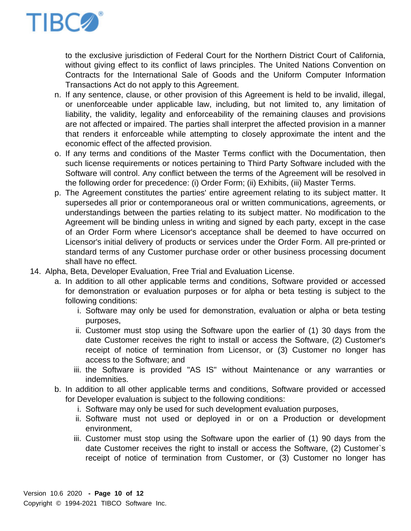

to the exclusive jurisdiction of Federal Court for the Northern District Court of California, without giving effect to its conflict of laws principles. The United Nations Convention on Contracts for the International Sale of Goods and the Uniform Computer Information Transactions Act do not apply to this Agreement.

- n. If any sentence, clause, or other provision of this Agreement is held to be invalid, illegal, or unenforceable under applicable law, including, but not limited to, any limitation of liability, the validity, legality and enforceability of the remaining clauses and provisions are not affected or impaired. The parties shall interpret the affected provision in a manner that renders it enforceable while attempting to closely approximate the intent and the economic effect of the affected provision.
- o. If any terms and conditions of the Master Terms conflict with the Documentation, then such license requirements or notices pertaining to Third Party Software included with the Software will control. Any conflict between the terms of the Agreement will be resolved in the following order for precedence: (i) Order Form; (ii) Exhibits, (iii) Master Terms.
- p. The Agreement constitutes the parties' entire agreement relating to its subject matter. It supersedes all prior or contemporaneous oral or written communications, agreements, or understandings between the parties relating to its subject matter. No modification to the Agreement will be binding unless in writing and signed by each party, except in the case of an Order Form where Licensor's acceptance shall be deemed to have occurred on Licensor's initial delivery of products or services under the Order Form. All pre-printed or standard terms of any Customer purchase order or other business processing document shall have no effect.
- 14. Alpha, Beta, Developer Evaluation, Free Trial and Evaluation License.
	- a. In addition to all other applicable terms and conditions, Software provided or accessed for demonstration or evaluation purposes or for alpha or beta testing is subject to the following conditions:
		- i. Software may only be used for demonstration, evaluation or alpha or beta testing purposes,
		- ii. Customer must stop using the Software upon the earlier of (1) 30 days from the date Customer receives the right to install or access the Software, (2) Customer's receipt of notice of termination from Licensor, or (3) Customer no longer has access to the Software; and
		- iii. the Software is provided "AS IS" without Maintenance or any warranties or indemnities.
	- b. In addition to all other applicable terms and conditions, Software provided or accessed for Developer evaluation is subject to the following conditions:
		- i. Software may only be used for such development evaluation purposes,
		- ii. Software must not used or deployed in or on a Production or development environment,
		- iii. Customer must stop using the Software upon the earlier of (1) 90 days from the date Customer receives the right to install or access the Software, (2) Customer`s receipt of notice of termination from Customer, or (3) Customer no longer has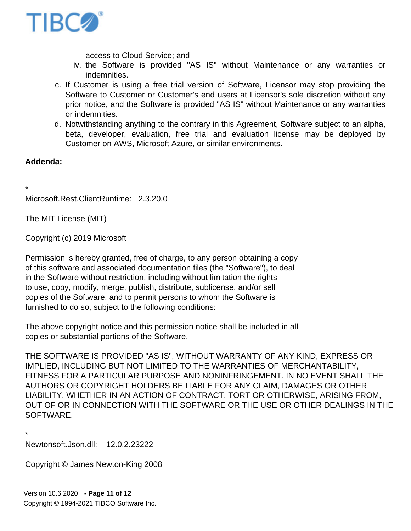

access to Cloud Service; and

- iv. the Software is provided "AS IS" without Maintenance or any warranties or indemnities.
- c. If Customer is using a free trial version of Software, Licensor may stop providing the Software to Customer or Customer's end users at Licensor's sole discretion without any prior notice, and the Software is provided "AS IS" without Maintenance or any warranties or indemnities.
- d. Notwithstanding anything to the contrary in this Agreement, Software subject to an alpha, beta, developer, evaluation, free trial and evaluation license may be deployed by Customer on AWS, Microsoft Azure, or similar environments.

## **Addenda:**

\* Microsoft.Rest.ClientRuntime: 2.3.20.0

The MIT License (MIT)

Copyright (c) 2019 Microsoft

Permission is hereby granted, free of charge, to any person obtaining a copy of this software and associated documentation files (the "Software"), to deal in the Software without restriction, including without limitation the rights to use, copy, modify, merge, publish, distribute, sublicense, and/or sell copies of the Software, and to permit persons to whom the Software is furnished to do so, subject to the following conditions:

The above copyright notice and this permission notice shall be included in all copies or substantial portions of the Software.

THE SOFTWARE IS PROVIDED "AS IS", WITHOUT WARRANTY OF ANY KIND, EXPRESS OR IMPLIED, INCLUDING BUT NOT LIMITED TO THE WARRANTIES OF MERCHANTABILITY, FITNESS FOR A PARTICULAR PURPOSE AND NONINFRINGEMENT. IN NO EVENT SHALL THE AUTHORS OR COPYRIGHT HOLDERS BE LIABLE FOR ANY CLAIM, DAMAGES OR OTHER LIABILITY, WHETHER IN AN ACTION OF CONTRACT, TORT OR OTHERWISE, ARISING FROM, OUT OF OR IN CONNECTION WITH THE SOFTWARE OR THE USE OR OTHER DEALINGS IN THE SOFTWARE.

\* Newtonsoft.Json.dll: 12.0.2.23222

Copyright © James Newton-King 2008